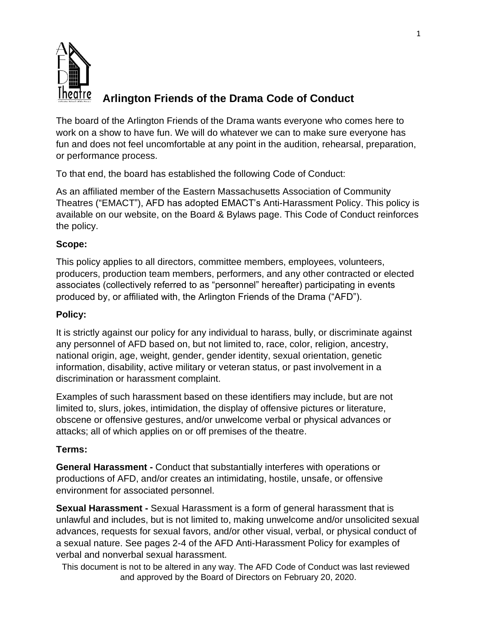

# **Arlington Friends of the Drama Code of Conduct**

The board of the Arlington Friends of the Drama wants everyone who comes here to work on a show to have fun. We will do whatever we can to make sure everyone has fun and does not feel uncomfortable at any point in the audition, rehearsal, preparation, or performance process.

To that end, the board has established the following Code of Conduct:

As an affiliated member of the Eastern Massachusetts Association of Community Theatres ("EMACT"), AFD has adopted EMACT's Anti-Harassment Policy. This policy is available on our website, on the Board & Bylaws page. This Code of Conduct reinforces the policy.

### **Scope:**

This policy applies to all directors, committee members, employees, volunteers, producers, production team members, performers, and any other contracted or elected associates (collectively referred to as "personnel" hereafter) participating in events produced by, or affiliated with, the Arlington Friends of the Drama ("AFD").

### **Policy:**

It is strictly against our policy for any individual to harass, bully, or discriminate against any personnel of AFD based on, but not limited to, race, color, religion, ancestry, national origin, age, weight, gender, gender identity, sexual orientation, genetic information, disability, active military or veteran status, or past involvement in a discrimination or harassment complaint.

Examples of such harassment based on these identifiers may include, but are not limited to, slurs, jokes, intimidation, the display of offensive pictures or literature, obscene or offensive gestures, and/or unwelcome verbal or physical advances or attacks; all of which applies on or off premises of the theatre.

### **Terms:**

**General Harassment -** Conduct that substantially interferes with operations or productions of AFD, and/or creates an intimidating, hostile, unsafe, or offensive environment for associated personnel.

**Sexual Harassment -** Sexual Harassment is a form of general harassment that is unlawful and includes, but is not limited to, making unwelcome and/or unsolicited sexual advances, requests for sexual favors, and/or other visual, verbal, or physical conduct of a sexual nature. See pages 2-4 of the AFD Anti-Harassment Policy for examples of verbal and nonverbal sexual harassment.

This document is not to be altered in any way. The AFD Code of Conduct was last reviewed and approved by the Board of Directors on February 20, 2020.